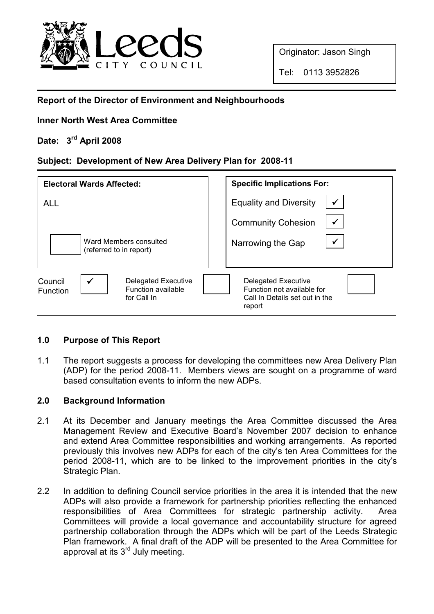

Originator: Jason Singh

## Report of the Director of Environment and Neighbourhoods

## Inner North West Area Committee

# Date: 3<sup>rd</sup> April 2008

## Subject: Development of New Area Delivery Plan for 2008-11

| <b>Electoral Wards Affected:</b>                                                                              | <b>Specific Implications For:</b>                                                                    |
|---------------------------------------------------------------------------------------------------------------|------------------------------------------------------------------------------------------------------|
| <b>ALL</b>                                                                                                    | $\checkmark$<br><b>Equality and Diversity</b>                                                        |
|                                                                                                               | $\checkmark$<br><b>Community Cohesion</b>                                                            |
| Ward Members consulted<br>(referred to in report)                                                             | $\checkmark$<br>Narrowing the Gap                                                                    |
| $\checkmark$<br><b>Delegated Executive</b><br>Council<br>Function available<br><b>Function</b><br>for Call In | <b>Delegated Executive</b><br>Function not available for<br>Call In Details set out in the<br>report |

## 1.0 Purpose of This Report

1.1 The report suggests a process for developing the committees new Area Delivery Plan (ADP) for the period 2008-11. Members views are sought on a programme of ward based consultation events to inform the new ADPs.

## 2.0 Background Information

- 2.1 At its December and January meetings the Area Committee discussed the Area Management Review and Executive Board's November 2007 decision to enhance and extend Area Committee responsibilities and working arrangements. As reported previously this involves new ADPs for each of the city's ten Area Committees for the period 2008-11, which are to be linked to the improvement priorities in the city's Strategic Plan.
- 2.2 In addition to defining Council service priorities in the area it is intended that the new ADPs will also provide a framework for partnership priorities reflecting the enhanced responsibilities of Area Committees for strategic partnership activity. Area Committees will provide a local governance and accountability structure for agreed partnership collaboration through the ADPs which will be part of the Leeds Strategic Plan framework. A final draft of the ADP will be presented to the Area Committee for approval at its  $3<sup>rd</sup>$  July meeting.